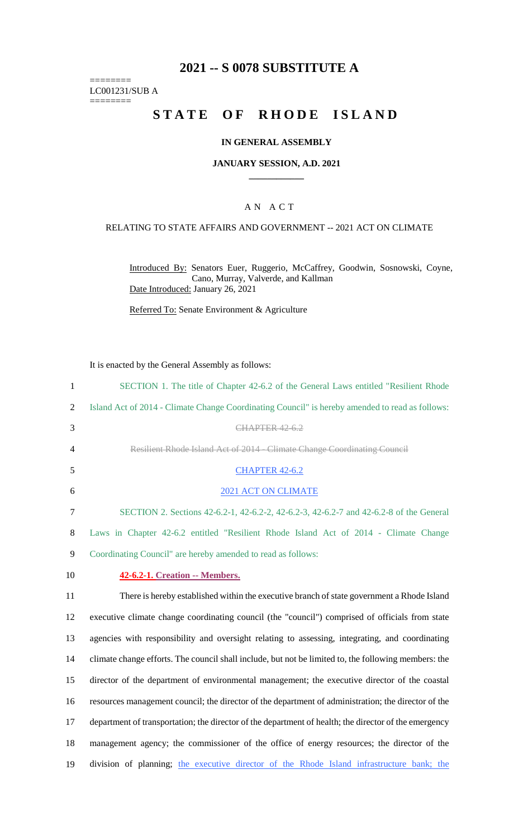# **2021 -- S 0078 SUBSTITUTE A**

======== LC001231/SUB A

========

# **STATE OF RHODE ISLAND**

#### **IN GENERAL ASSEMBLY**

#### **JANUARY SESSION, A.D. 2021 \_\_\_\_\_\_\_\_\_\_\_\_**

### A N A C T

### RELATING TO STATE AFFAIRS AND GOVERNMENT -- 2021 ACT ON CLIMATE

Introduced By: Senators Euer, Ruggerio, McCaffrey, Goodwin, Sosnowski, Coyne, Cano, Murray, Valverde, and Kallman Date Introduced: January 26, 2021

Referred To: Senate Environment & Agriculture

It is enacted by the General Assembly as follows:

| $\mathbf{1}$   | SECTION 1. The title of Chapter 42-6.2 of the General Laws entitled "Resilient Rhode                  |
|----------------|-------------------------------------------------------------------------------------------------------|
| 2              | Island Act of 2014 - Climate Change Coordinating Council" is hereby amended to read as follows:       |
| 3              | <b>CHAPTER 42-6.2</b>                                                                                 |
| $\overline{4}$ | Resilient Rhode Island Act of 2014 - Climate Change Coordinating Council                              |
| 5              | <b>CHAPTER 42-6.2</b>                                                                                 |
| 6              | 2021 ACT ON CLIMATE                                                                                   |
| $\tau$         | SECTION 2. Sections 42-6.2-1, 42-6.2-2, 42-6.2-3, 42-6.2-7 and 42-6.2-8 of the General                |
| 8              | Laws in Chapter 42-6.2 entitled "Resilient Rhode Island Act of 2014 - Climate Change                  |
| 9              | Coordinating Council" are hereby amended to read as follows:                                          |
| 10             | 42-6.2-1. Creation -- Members.                                                                        |
| 11             | There is hereby established within the executive branch of state government a Rhode Island            |
| 12             | executive climate change coordinating council (the "council") comprised of officials from state       |
| 13             | agencies with responsibility and oversight relating to assessing, integrating, and coordinating       |
| 14             | climate change efforts. The council shall include, but not be limited to, the following members: the  |
| 15             | director of the department of environmental management; the executive director of the coastal         |
| 16             | resources management council; the director of the department of administration; the director of the   |
| 17             | department of transportation; the director of the department of health; the director of the emergency |
| 18             | management agency; the commissioner of the office of energy resources; the director of the            |
| 19             | division of planning; the executive director of the Rhode Island infrastructure bank; the             |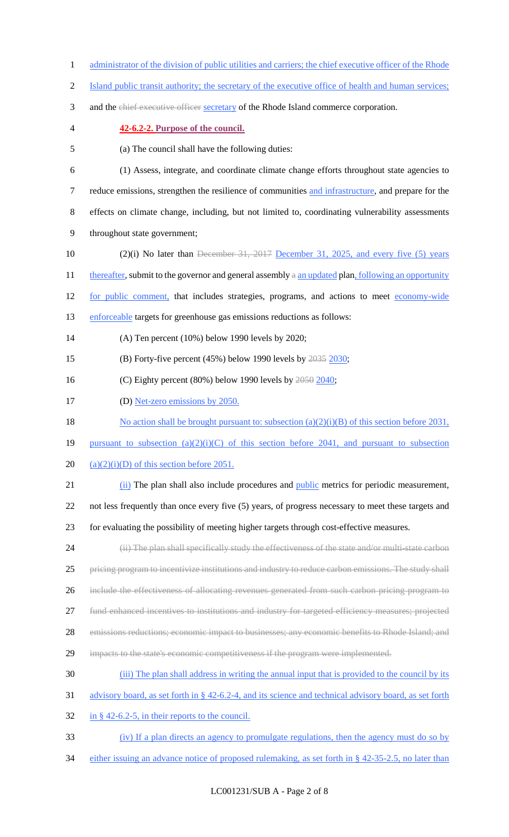- 1 administrator of the division of public utilities and carriers; the chief executive officer of the Rhode
- 2 Island public transit authority; the secretary of the executive office of health and human services;
- 3 and the chief executive officer secretary of the Rhode Island commerce corporation.
- 

#### 4 **42-6.2-2. Purpose of the council.**

- 5 (a) The council shall have the following duties:
- 6 (1) Assess, integrate, and coordinate climate change efforts throughout state agencies to 7 reduce emissions, strengthen the resilience of communities and infrastructure, and prepare for the 8 effects on climate change, including, but not limited to, coordinating vulnerability assessments 9 throughout state government;
- 10 (2)(i) No later than December 31, 2017 December 31, 2025, and every five (5) years
- 11 thereafter, submit to the governor and general assembly  $a$  an updated plan, following an opportunity
- 12 for public comment, that includes strategies, programs, and actions to meet economy-wide
- 13 enforceable targets for greenhouse gas emissions reductions as follows:
- 14 (A) Ten percent (10%) below 1990 levels by 2020;
- 15 (B) Forty-five percent  $(45\%)$  below 1990 levels by  $2035$  2030;
- 16 (C) Eighty percent (80%) below 1990 levels by 2050 2040;
- 17 (D) Net-zero emissions by 2050.
- 18 No action shall be brought pursuant to: subsection (a)(2)(i)(B) of this section before 2031,
- 19 pursuant to subsection  $(a)(2)(i)(C)$  of this section before 2041, and pursuant to subsection
- 20  $(a)(2)(i)(D)$  of this section before 2051.
- 21 (ii) The plan shall also include procedures and public metrics for periodic measurement,
- 22 not less frequently than once every five (5) years, of progress necessary to meet these targets and
- 23 for evaluating the possibility of meeting higher targets through cost-effective measures.
- 24 (ii) The plan shall specifically study the effectiveness of the state and/or multi-state carbon 25 pricing program to incentivize institutions and industry to reduce carbon emissions. The study shall
- 26 include the effectiveness of allocating revenues generated from such carbon pricing program to
- 27 fund enhanced incentives to institutions and industry for targeted efficiency measures; projected
- 28 emissions reductions; economic impact to businesses; any economic benefits to Rhode Island; and
- 29 impacts to the state's economic competitiveness if the program were implemented.
- 30 (iii) The plan shall address in writing the annual input that is provided to the council by its
- 31 advisory board, as set forth in § 42-6.2-4, and its science and technical advisory board, as set forth
- $32$  in § 42-6.2-5, in their reports to the council.
- 33 (iv) If a plan directs an agency to promulgate regulations, then the agency must do so by
- 34 either issuing an advance notice of proposed rulemaking, as set forth in § 42-35-2.5, no later than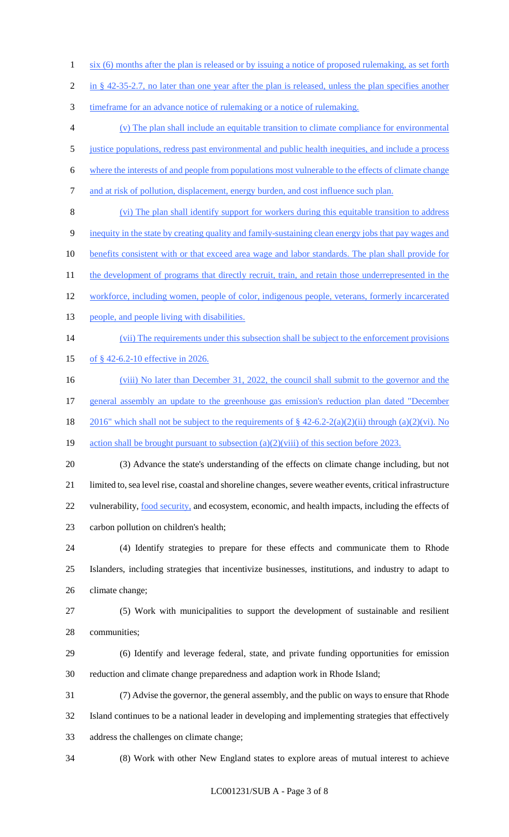- six (6) months after the plan is released or by issuing a notice of proposed rulemaking, as set forth
- 2 in § 42-35-2.7, no later than one year after the plan is released, unless the plan specifies another
- timeframe for an advance notice of rulemaking or a notice of rulemaking.
- (v) The plan shall include an equitable transition to climate compliance for environmental
- justice populations, redress past environmental and public health inequities, and include a process
- where the interests of and people from populations most vulnerable to the effects of climate change
- 7 and at risk of pollution, displacement, energy burden, and cost influence such plan.
- (vi) The plan shall identify support for workers during this equitable transition to address
- inequity in the state by creating quality and family-sustaining clean energy jobs that pay wages and
- 10 benefits consistent with or that exceed area wage and labor standards. The plan shall provide for
- 11 the development of programs that directly recruit, train, and retain those underrepresented in the
- 12 workforce, including women, people of color, indigenous people, veterans, formerly incarcerated
- 13 people, and people living with disabilities.
- 14 (vii) The requirements under this subsection shall be subject to the enforcement provisions
- 15 of § 42-6.2-10 effective in 2026.
- 16 (viii) No later than December 31, 2022, the council shall submit to the governor and the
- general assembly an update to the greenhouse gas emission's reduction plan dated "December
- 18 2016" which shall not be subject to the requirements of  $\S$  42-6.2-2(a)(2)(ii) through (a)(2)(vi). No

19 action shall be brought pursuant to subsection (a)(2)(viii) of this section before 2023.

(3) Advance the state's understanding of the effects on climate change including, but not

limited to, sea level rise, coastal and shoreline changes, severe weather events, critical infrastructure

22 vulnerability, food security, and ecosystem, economic, and health impacts, including the effects of carbon pollution on children's health;

- (4) Identify strategies to prepare for these effects and communicate them to Rhode Islanders, including strategies that incentivize businesses, institutions, and industry to adapt to climate change;
- (5) Work with municipalities to support the development of sustainable and resilient communities;
- (6) Identify and leverage federal, state, and private funding opportunities for emission reduction and climate change preparedness and adaption work in Rhode Island;
- (7) Advise the governor, the general assembly, and the public on ways to ensure that Rhode
- Island continues to be a national leader in developing and implementing strategies that effectively
- address the challenges on climate change;
- 

(8) Work with other New England states to explore areas of mutual interest to achieve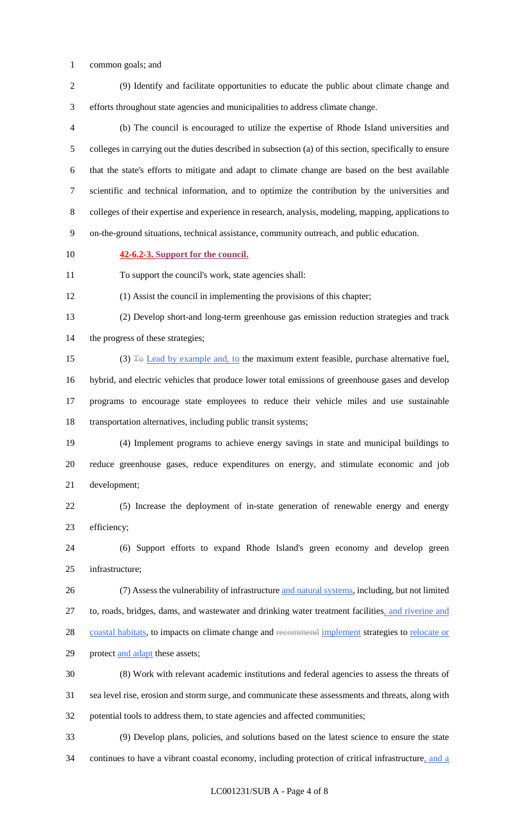common goals; and

 (9) Identify and facilitate opportunities to educate the public about climate change and efforts throughout state agencies and municipalities to address climate change.

 (b) The council is encouraged to utilize the expertise of Rhode Island universities and colleges in carrying out the duties described in subsection (a) of this section, specifically to ensure that the state's efforts to mitigate and adapt to climate change are based on the best available scientific and technical information, and to optimize the contribution by the universities and colleges of their expertise and experience in research, analysis, modeling, mapping, applications to on-the-ground situations, technical assistance, community outreach, and public education.

### **42-6.2-3. Support for the council.**

To support the council's work, state agencies shall:

(1) Assist the council in implementing the provisions of this chapter;

 (2) Develop short-and long-term greenhouse gas emission reduction strategies and track the progress of these strategies;

 (3) To Lead by example and, to the maximum extent feasible, purchase alternative fuel, hybrid, and electric vehicles that produce lower total emissions of greenhouse gases and develop programs to encourage state employees to reduce their vehicle miles and use sustainable transportation alternatives, including public transit systems;

 (4) Implement programs to achieve energy savings in state and municipal buildings to reduce greenhouse gases, reduce expenditures on energy, and stimulate economic and job development;

 (5) Increase the deployment of in-state generation of renewable energy and energy efficiency;

 (6) Support efforts to expand Rhode Island's green economy and develop green infrastructure;

 (7) Assess the vulnerability of infrastructure and natural systems, including, but not limited 27 to, roads, bridges, dams, and wastewater and drinking water treatment facilities, and riverine and 28 coastal habitats, to impacts on climate change and recommend implement strategies to relocate or 29 protect and adapt these assets;

 (8) Work with relevant academic institutions and federal agencies to assess the threats of sea level rise, erosion and storm surge, and communicate these assessments and threats, along with potential tools to address them, to state agencies and affected communities;

 (9) Develop plans, policies, and solutions based on the latest science to ensure the state continues to have a vibrant coastal economy, including protection of critical infrastructure, and a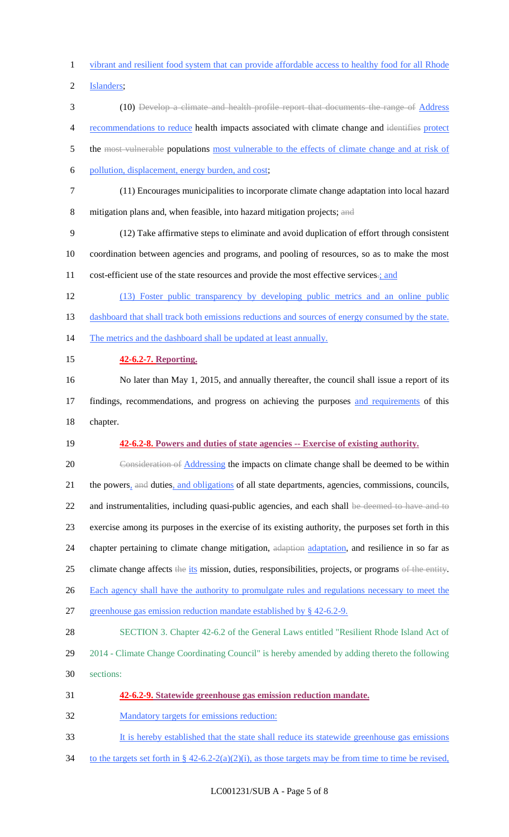vibrant and resilient food system that can provide affordable access to healthy food for all Rhode

Islanders;

- 3 (10) Develop a climate and health profile report that documents the range of Address recommendations to reduce health impacts associated with climate change and identifies protect
- 5 the most vulnerable populations most vulnerable to the effects of climate change and at risk of
- pollution, displacement, energy burden, and cost;
- (11) Encourages municipalities to incorporate climate change adaptation into local hazard
- mitigation plans and, when feasible, into hazard mitigation projects; and
- (12) Take affirmative steps to eliminate and avoid duplication of effort through consistent
- coordination between agencies and programs, and pooling of resources, so as to make the most
- 11 cost-efficient use of the state resources and provide the most effective services.; and
- (13) Foster public transparency by developing public metrics and an online public
- 13 dashboard that shall track both emissions reductions and sources of energy consumed by the state.
- The metrics and the dashboard shall be updated at least annually.
- **42-6.2-7. Reporting.**
- No later than May 1, 2015, and annually thereafter, the council shall issue a report of its
- 17 findings, recommendations, and progress on achieving the purposes and requirements of this chapter.
- **42-6.2-8. Powers and duties of state agencies -- Exercise of existing authority.**
- Consideration of Addressing the impacts on climate change shall be deemed to be within 21 the powers, and duties, and obligations of all state departments, agencies, commissions, councils, 22 and instrumentalities, including quasi-public agencies, and each shall be deemed to have and to exercise among its purposes in the exercise of its existing authority, the purposes set forth in this 24 chapter pertaining to climate change mitigation, adaption adaptation, and resilience in so far as 25 climate change affects the its mission, duties, responsibilities, projects, or programs of the entity. 26 Each agency shall have the authority to promulgate rules and regulations necessary to meet the greenhouse gas emission reduction mandate established by § 42-6.2-9. SECTION 3. Chapter 42-6.2 of the General Laws entitled "Resilient Rhode Island Act of 2014 - Climate Change Coordinating Council" is hereby amended by adding thereto the following sections:
- **42-6.2-9. Statewide greenhouse gas emission reduction mandate.**
- Mandatory targets for emissions reduction:
- It is hereby established that the state shall reduce its statewide greenhouse gas emissions
- 34 to the targets set forth in  $\S 42-6.2-2(a)(2)(i)$ , as those targets may be from time to time be revised,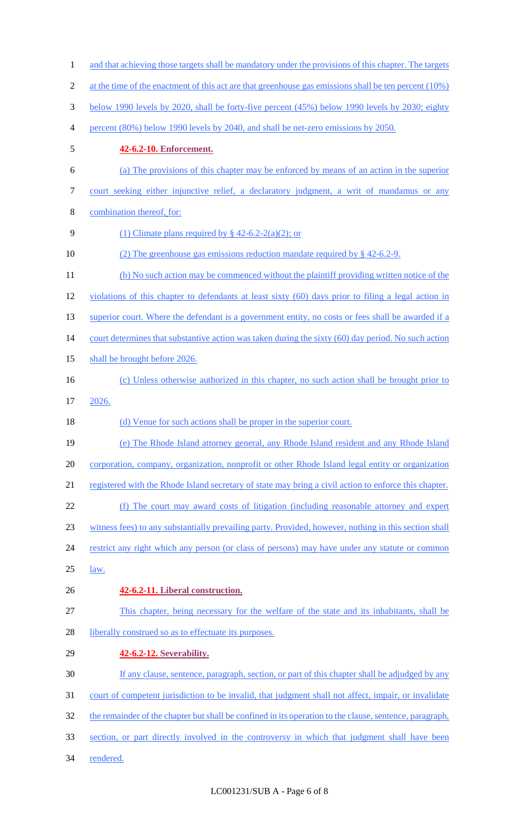and that achieving those targets shall be mandatory under the provisions of this chapter. The targets 2 at the time of the enactment of this act are that greenhouse gas emissions shall be ten percent (10%) below 1990 levels by 2020, shall be forty-five percent (45%) below 1990 levels by 2030; eighty percent (80%) below 1990 levels by 2040, and shall be net-zero emissions by 2050. **42-6.2-10. Enforcement.** (a) The provisions of this chapter may be enforced by means of an action in the superior court seeking either injunctive relief, a declaratory judgment, a writ of mandamus or any combination thereof, for: 9 (1) Climate plans required by  $\frac{8}{9}$  42-6.2-2(a)(2); or 10 (2) The greenhouse gas emissions reduction mandate required by § 42-6.2-9. 11 (b) No such action may be commenced without the plaintiff providing written notice of the violations of this chapter to defendants at least sixty (60) days prior to filing a legal action in 13 superior court. Where the defendant is a government entity, no costs or fees shall be awarded if a 14 court determines that substantive action was taken during the sixty (60) day period. No such action shall be brought before 2026. (c) Unless otherwise authorized in this chapter, no such action shall be brought prior to 2026. 18 (d) Venue for such actions shall be proper in the superior court. (e) The Rhode Island attorney general, any Rhode Island resident and any Rhode Island corporation, company, organization, nonprofit or other Rhode Island legal entity or organization registered with the Rhode Island secretary of state may bring a civil action to enforce this chapter. (f) The court may award costs of litigation (including reasonable attorney and expert witness fees) to any substantially prevailing party. Provided, however, nothing in this section shall 24 restrict any right which any person (or class of persons) may have under any statute or common law. **42-6.2-11. Liberal construction.** This chapter, being necessary for the welfare of the state and its inhabitants, shall be 28 liberally construed so as to effectuate its purposes. **42-6.2-12. Severability.** 30 If any clause, sentence, paragraph, section, or part of this chapter shall be adjudged by any court of competent jurisdiction to be invalid, that judgment shall not affect, impair, or invalidate 32 the remainder of the chapter but shall be confined in its operation to the clause, sentence, paragraph, section, or part directly involved in the controversy in which that judgment shall have been rendered.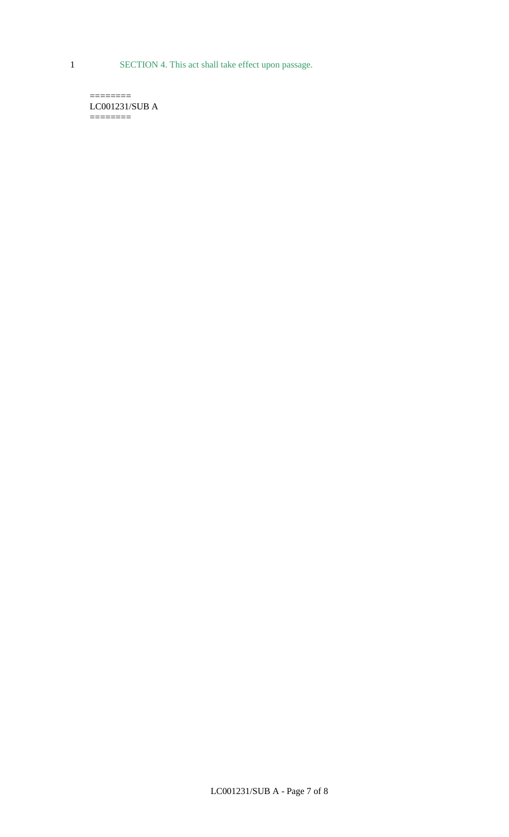1 SECTION 4. This act shall take effect upon passage.

 $=$ LC001231/SUB A  $=$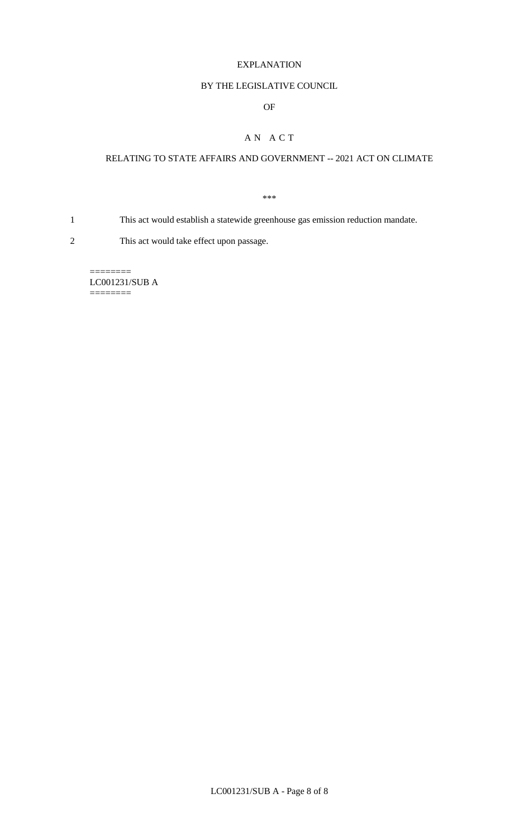#### EXPLANATION

### BY THE LEGISLATIVE COUNCIL

### OF

# A N A C T

# RELATING TO STATE AFFAIRS AND GOVERNMENT -- 2021 ACT ON CLIMATE

\*\*\*

1 This act would establish a statewide greenhouse gas emission reduction mandate.

2 This act would take effect upon passage.

 $=$ LC001231/SUB A ========